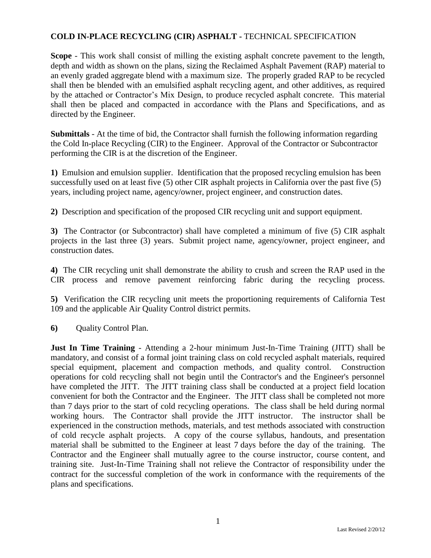## **COLD IN-PLACE RECYCLING (CIR) ASPHALT -** TECHNICAL SPECIFICATION

**Scope** - This work shall consist of milling the existing asphalt concrete pavement to the length, depth and width as shown on the plans, sizing the Reclaimed Asphalt Pavement (RAP) material to an evenly graded aggregate blend with a maximum size. The properly graded RAP to be recycled shall then be blended with an emulsified asphalt recycling agent, and other additives, as required by the attached or Contractor's Mix Design, to produce recycled asphalt concrete. This material shall then be placed and compacted in accordance with the Plans and Specifications, and as directed by the Engineer.

**Submittals** - At the time of bid, the Contractor shall furnish the following information regarding the Cold In-place Recycling (CIR) to the Engineer. Approval of the Contractor or Subcontractor performing the CIR is at the discretion of the Engineer.

**1)** Emulsion and emulsion supplier. Identification that the proposed recycling emulsion has been successfully used on at least five (5) other CIR asphalt projects in California over the past five (5) years, including project name, agency/owner, project engineer, and construction dates.

**2)** Description and specification of the proposed CIR recycling unit and support equipment.

**3)** The Contractor (or Subcontractor) shall have completed a minimum of five (5) CIR asphalt projects in the last three (3) years. Submit project name, agency/owner, project engineer, and construction dates.

**4)** The CIR recycling unit shall demonstrate the ability to crush and screen the RAP used in the CIR process and remove pavement reinforcing fabric during the recycling process.

**5)** Verification the CIR recycling unit meets the proportioning requirements of California Test 109 and the applicable Air Quality Control district permits.

**6)** Quality Control Plan.

**Just In Time Training** - Attending a 2-hour minimum Just-In-Time Training (JITT) shall be mandatory, and consist of a formal joint training class on cold recycled asphalt materials, required special equipment, placement and compaction methods, and quality control. Construction operations for cold recycling shall not begin until the Contractor's and the Engineer's personnel have completed the JITT. The JITT training class shall be conducted at a project field location convenient for both the Contractor and the Engineer. The JITT class shall be completed not more than 7 days prior to the start of cold recycling operations. The class shall be held during normal working hours. The Contractor shall provide the JITT instructor. The instructor shall be experienced in the construction methods, materials, and test methods associated with construction of cold recycle asphalt projects. A copy of the course syllabus, handouts, and presentation material shall be submitted to the Engineer at least 7 days before the day of the training. The Contractor and the Engineer shall mutually agree to the course instructor, course content, and training site. Just-In-Time Training shall not relieve the Contractor of responsibility under the contract for the successful completion of the work in conformance with the requirements of the plans and specifications.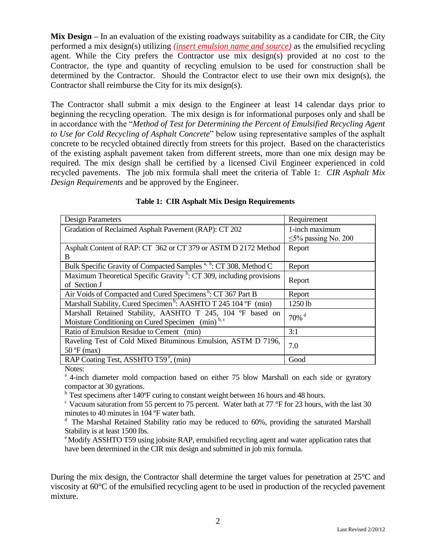**Mix Design –** In an evaluation of the existing roadways suitability as a candidate for CIR, the City performed a mix design(s) utilizing *(insert emulsion name and source)* as the emulsified recycling agent. While the City prefers the Contractor use mix design(s) provided at no cost to the Contractor, the type and quantity of recycling emulsion to be used for construction shall be determined by the Contractor. Should the Contractor elect to use their own mix design(s), the Contractor shall reimburse the City for its mix design(s).

The Contractor shall submit a mix design to the Engineer at least 14 calendar days prior to beginning the recycling operation. The mix design is for informational purposes only and shall be in accordance with the "*Method of Test for Determining the Percent of Emulsified Recycling Agent to Use for Cold Recycling of Asphalt Concrete*" below using representative samples of the asphalt concrete to be recycled obtained directly from streets for this project. Based on the characteristics of the existing asphalt pavement taken from different streets, more than one mix design may be required. The mix design shall be certified by a licensed Civil Engineer experienced in cold recycled pavements. The job mix formula shall meet the criteria of Table 1: *CIR Asphalt Mix Design Requirements* and be approved by the Engineer.

| <b>Design Parameters</b>                                                         | Requirement               |  |
|----------------------------------------------------------------------------------|---------------------------|--|
| Gradation of Reclaimed Asphalt Pavement (RAP): CT 202                            | 1-inch maximum            |  |
|                                                                                  | $\leq$ 5% passing No. 200 |  |
| Asphalt Content of RAP: CT 362 or CT 379 or ASTM D 2172 Method                   | Report                    |  |
| B                                                                                |                           |  |
| Bulk Specific Gravity of Compacted Samples <sup>a, b</sup> : CT 308, Method C    | Report                    |  |
| Maximum Theoretical Specific Gravity <sup>b</sup> : CT 309, including provisions |                           |  |
| of Section J                                                                     | Report                    |  |
| Air Voids of Compacted and Cured Specimens <sup>b</sup> : CT 367 Part B          | Report                    |  |
| Marshall Stability, Cured Specimen <sup>b</sup> : AASHTO T 245 104 °F (min)      | 1250 lb                   |  |
| Marshall Retained Stability, AASHTO T 245, 104 °F based on                       | $70\%$ <sup>d</sup>       |  |
| Moisture Conditioning on Cured Specimen (min) <sup>b, c</sup>                    |                           |  |
| Ratio of Emulsion Residue to Cement (min)                                        | 3:1                       |  |
| Raveling Test of Cold Mixed Bituminous Emulsion, ASTM D 7196,                    | 7.0                       |  |
| $50 \text{ °F}$ (max)                                                            |                           |  |
| RAP Coating Test, ASSHTO T59 <sup>e</sup> , (min)                                | Good                      |  |

 **Table 1: CIR Asphalt Mix Design Requirements**

Notes:

<sup>a</sup> 4-inch diameter mold compaction based on either 75 blow Marshall on each side or gyratory compactor at 30 gyrations.

<sup>b</sup> Test specimens after 140°F curing to constant weight between 16 hours and 48 hours.

<sup>c</sup> Vacuum saturation from 55 percent to 75 percent. Water bath at 77 °F for 23 hours, with the last 30 minutes to 40 minutes in 104 ºF water bath.

 $d$  The Marshal Retained Stability ratio may be reduced to 60%, providing the saturated Marshall Stability is at least 1500 lbs.

<sup>e</sup> Modify ASSHTO T59 using jobsite RAP, emulsified recycling agent and water application rates that have been determined in the CIR mix design and submitted in job mix formula.

During the mix design, the Contractor shall determine the target values for penetration at 25°C and viscosity at 60°C of the emulsified recycling agent to be used in production of the recycled pavement mixture.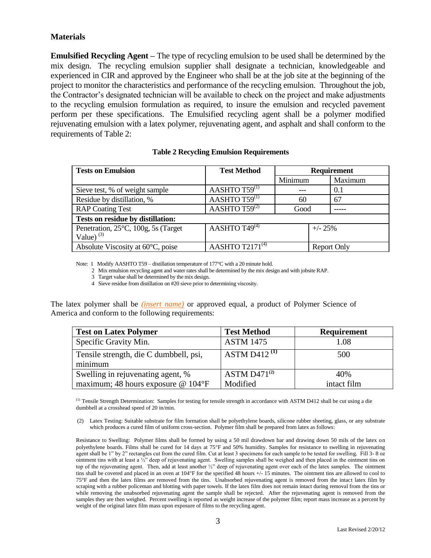### **Materials**

**Emulsified Recycling Agent –** The type of recycling emulsion to be used shall be determined by the mix design. The recycling emulsion supplier shall designate a technician, knowledgeable and experienced in CIR and approved by the Engineer who shall be at the job site at the beginning of the project to monitor the characteristics and performance of the recycling emulsion. Throughout the job, the Contractor's designated technician will be available to check on the project and make adjustments to the recycling emulsion formulation as required, to insure the emulsion and recycled pavement perform per these specifications. The Emulsified recycling agent shall be a polymer modified rejuvenating emulsion with a latex polymer, rejuvenating agent, and asphalt and shall conform to the requirements of Table 2:

| <b>Tests on Emulsion</b>                            | <b>Test Method</b>             | <b>Requirement</b> |                    |         |
|-----------------------------------------------------|--------------------------------|--------------------|--------------------|---------|
|                                                     |                                | Minimum            |                    | Maximum |
| Sieve test, % of weight sample                      | AASHTO $T59^{(1)}$             |                    |                    | 0.1     |
| Residue by distillation, %                          | AASHTO $T59$ <sup>(1)</sup>    | 60                 |                    | 67      |
| <b>RAP Coating Test</b>                             | AASHTO $T59^{(2)}$             | Good               |                    |         |
| Tests on residue by distillation:                   |                                |                    |                    |         |
| Penetration, 25°C, 100g, 5s (Target<br>Value) $(3)$ | AASHTO T49 $\overline{^{(4)}}$ |                    | $+/- 25%$          |         |
| Absolute Viscosity at $60^{\circ}$ C, poise         | AASHTO $T2171^{(4)}$           |                    | <b>Report Only</b> |         |

#### **Table 2 Recycling Emulsion Requirements**

Note: 1 Modify AASHTO T59 – distillation temperature of 177°C with a 20 minute hold.

2 Mix emulsion recycling agent and water rates shall be determined by the mix design and with jobsite RAP.

3 Target value shall be determined by the mix design.

4 Sieve residue from distillation on #20 sieve prior to determining viscosity.

The latex polymer shall be *(insert name)* or approved equal, a product of Polymer Science of America and conform to the following requirements:

| <b>Test on Latex Polymer</b>           | <b>Test Method</b> | <b>Requirement</b> |
|----------------------------------------|--------------------|--------------------|
| Specific Gravity Min.                  | <b>ASTM 1475</b>   | 1.08               |
| Tensile strength, die C dumbbell, psi, | ASTM D412 $^{(1)}$ | 500                |
| minimum                                |                    |                    |
| Swelling in rejuvenating agent, %      | $ASTM D471^{(2)}$  | 40%                |
| maximum; 48 hours exposure $@ 104$ °F  | Modified           | intact film        |

(1) Tensile Strength Determination: Samples for testing for tensile strength in accordance with ASTM D412 shall be cut using a die dumbbell at a crosshead speed of 20 in/min.

(2) Latex Testing: Suitable substrate for film formation shall be polyethylene boards, silicone rubber sheeting, glass, or any substrate which produces a cured film of uniform cross-section. Polymer film shall be prepared from latex as follows:

Resistance to Swelling: Polymer films shall be formed by using a 50 mil drawdown bar and drawing down 50 mils of the latex on polyethylene boards. Films shall be cured for 14 days at 75F and 50% humidity. Samples for resistance to swelling in rejuvenating agent shall be 1" by 2" rectangles cut from the cured film. Cut at least 3 specimens for each sample to be tested for swelling. Fill 3- 8 oz ointment tins with at least a ½" deep of rejuvenating agent. Swelling samples shall be weighed and then placed in the ointment tins on top of the rejuvenating agent. Then, add at least another ½" deep of rejuvenating agent over each of the latex samples. The ointment tins shall be covered and placed in an oven at 104°F for the specified 48 hours +/- 15 minutes. The ointment tins are allowed to cool to 75°F and then the latex films are removed from the tins. Unabsorbed rejuvenating agent is removed from the intact latex film by scraping with a rubber policeman and blotting with paper towels. If the latex film does not remain intact during removal from the tins or while removing the unabsorbed rejuvenating agent the sample shall be rejected. After the rejuvenating agent is removed from the samples they are then weighed. Percent swelling is reported as weight increase of the polymer film; report mass increase as a percent by weight of the original latex film mass upon exposure of films to the recycling agent.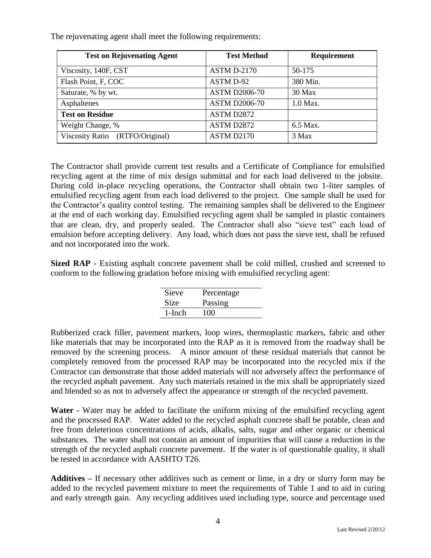|  |  | The rejuvenating agent shall meet the following requirements: |  |
|--|--|---------------------------------------------------------------|--|
|--|--|---------------------------------------------------------------|--|

| <b>Test on Rejuvenating Agent</b> | <b>Test Method</b>   | <b>Requirement</b> |
|-----------------------------------|----------------------|--------------------|
| Viscosity, 140F, CST              | <b>ASTM D-2170</b>   | 50-175             |
| Flash Point, F, COC               | ASTM D-92            | 380 Min.           |
| Saturate, % by wt.                | <b>ASTM D2006-70</b> | $30$ Max           |
| Asphaltenes                       | <b>ASTM D2006-70</b> | 1.0 Max.           |
| <b>Test on Residue</b>            | ASTM D2872           |                    |
| Weight Change, %                  | ASTM D2872           | 6.5 Max.           |
| Viscosity Ratio (RTFO/Original)   | ASTM D2170           | 3 Max              |

The Contractor shall provide current test results and a Certificate of Compliance for emulsified recycling agent at the time of mix design submittal and for each load delivered to the jobsite. During cold in-place recycling operations, the Contractor shall obtain two 1-liter samples of emulsified recycling agent from each load delivered to the project. One sample shall be used for the Contractor's quality control testing. The remaining samples shall be delivered to the Engineer at the end of each working day. Emulsified recycling agent shall be sampled in plastic containers that are clean, dry, and properly sealed. The Contractor shall also "sieve test" each load of emulsion before accepting delivery. Any load, which does not pass the sieve test, shall be refused and not incorporated into the work.

**Sized RAP -** Existing asphalt concrete pavement shall be cold milled, crushed and screened to conform to the following gradation before mixing with emulsified recycling agent:

| Sieve     | Percentage |
|-----------|------------|
| Size      | Passing    |
| $1$ -Inch | 100        |

Rubberized crack filler, pavement markers, loop wires, thermoplastic markers, fabric and other like materials that may be incorporated into the RAP as it is removed from the roadway shall be removed by the screening process. A minor amount of these residual materials that cannot be completely removed from the processed RAP may be incorporated into the recycled mix if the Contractor can demonstrate that those added materials will not adversely affect the performance of the recycled asphalt pavement. Any such materials retained in the mix shall be appropriately sized and blended so as not to adversely affect the appearance or strength of the recycled pavement.

**Water -** Water may be added to facilitate the uniform mixing of the emulsified recycling agent and the processed RAP. Water added to the recycled asphalt concrete shall be potable, clean and free from deleterious concentrations of acids, alkalis, salts, sugar and other organic or chemical substances. The water shall not contain an amount of impurities that will cause a reduction in the strength of the recycled asphalt concrete pavement. If the water is of questionable quality, it shall be tested in accordance with AASHTO T26.

**Additives –** If necessary other additives such as cement or lime, in a dry or slurry form may be added to the recycled pavement mixture to meet the requirements of Table 1 and to aid in curing and early strength gain. Any recycling additives used including type, source and percentage used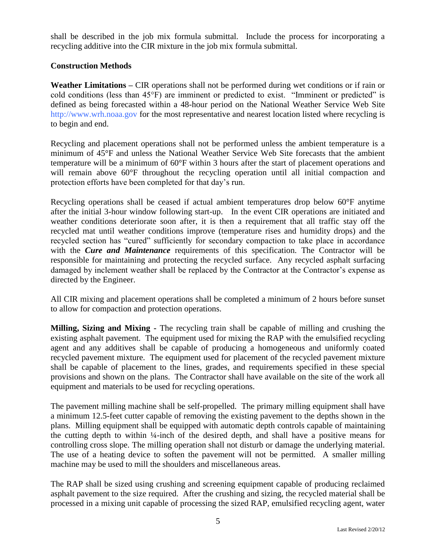shall be described in the job mix formula submittal. Include the process for incorporating a recycling additive into the CIR mixture in the job mix formula submittal.

### **Construction Methods**

**Weather Limitations –** CIR operations shall not be performed during wet conditions or if rain or cold conditions (less than 45°F) are imminent or predicted to exist. "Imminent or predicted" is defined as being forecasted within a 48-hour period on the National Weather Service Web Site [http://www.wrh.noaa.gov](http://www.wrh.noaa.gov/) for the most representative and nearest location listed where recycling is to begin and end.

Recycling and placement operations shall not be performed unless the ambient temperature is a minimum of 45°F and unless the National Weather Service Web Site forecasts that the ambient temperature will be a minimum of 60°F within 3 hours after the start of placement operations and will remain above  $60^{\circ}$ F throughout the recycling operation until all initial compaction and protection efforts have been completed for that day's run.

Recycling operations shall be ceased if actual ambient temperatures drop below 60°F anytime after the initial 3-hour window following start-up. In the event CIR operations are initiated and weather conditions deteriorate soon after, it is then a requirement that all traffic stay off the recycled mat until weather conditions improve (temperature rises and humidity drops) and the recycled section has "cured" sufficiently for secondary compaction to take place in accordance with the *Cure and Maintenance* requirements of this specification. The Contractor will be responsible for maintaining and protecting the recycled surface. Any recycled asphalt surfacing damaged by inclement weather shall be replaced by the Contractor at the Contractor's expense as directed by the Engineer.

All CIR mixing and placement operations shall be completed a minimum of 2 hours before sunset to allow for compaction and protection operations.

**Milling, Sizing and Mixing -** The recycling train shall be capable of milling and crushing the existing asphalt pavement. The equipment used for mixing the RAP with the emulsified recycling agent and any additives shall be capable of producing a homogeneous and uniformly coated recycled pavement mixture. The equipment used for placement of the recycled pavement mixture shall be capable of placement to the lines, grades, and requirements specified in these special provisions and shown on the plans. The Contractor shall have available on the site of the work all equipment and materials to be used for recycling operations.

The pavement milling machine shall be self-propelled. The primary milling equipment shall have a minimum 12.5-feet cutter capable of removing the existing pavement to the depths shown in the plans. Milling equipment shall be equipped with automatic depth controls capable of maintaining the cutting depth to within ¼-inch of the desired depth, and shall have a positive means for controlling cross slope. The milling operation shall not disturb or damage the underlying material. The use of a heating device to soften the pavement will not be permitted. A smaller milling machine may be used to mill the shoulders and miscellaneous areas.

The RAP shall be sized using crushing and screening equipment capable of producing reclaimed asphalt pavement to the size required. After the crushing and sizing, the recycled material shall be processed in a mixing unit capable of processing the sized RAP, emulsified recycling agent, water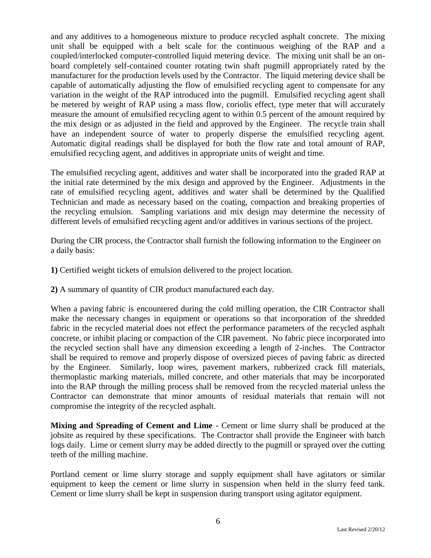and any additives to a homogeneous mixture to produce recycled asphalt concrete. The mixing unit shall be equipped with a belt scale for the continuous weighing of the RAP and a coupled/interlocked computer-controlled liquid metering device. The mixing unit shall be an onboard completely self-contained counter rotating twin shaft pugmill appropriately rated by the manufacturer for the production levels used by the Contractor. The liquid metering device shall be capable of automatically adjusting the flow of emulsified recycling agent to compensate for any variation in the weight of the RAP introduced into the pugmill. Emulsified recycling agent shall be metered by weight of RAP using a mass flow, coriolis effect, type meter that will accurately measure the amount of emulsified recycling agent to within 0.5 percent of the amount required by the mix design or as adjusted in the field and approved by the Engineer. The recycle train shall have an independent source of water to properly disperse the emulsified recycling agent. Automatic digital readings shall be displayed for both the flow rate and total amount of RAP, emulsified recycling agent, and additives in appropriate units of weight and time.

The emulsified recycling agent, additives and water shall be incorporated into the graded RAP at the initial rate determined by the mix design and approved by the Engineer. Adjustments in the rate of emulsified recycling agent, additives and water shall be determined by the Qualified Technician and made as necessary based on the coating, compaction and breaking properties of the recycling emulsion. Sampling variations and mix design may determine the necessity of different levels of emulsified recycling agent and/or additives in various sections of the project.

During the CIR process, the Contractor shall furnish the following information to the Engineer on a daily basis:

- **1)** Certified weight tickets of emulsion delivered to the project location.
- **2)** A summary of quantity of CIR product manufactured each day.

When a paving fabric is encountered during the cold milling operation, the CIR Contractor shall make the necessary changes in equipment or operations so that incorporation of the shredded fabric in the recycled material does not effect the performance parameters of the recycled asphalt concrete, or inhibit placing or compaction of the CIR pavement. No fabric piece incorporated into the recycled section shall have any dimension exceeding a length of 2-inches. The Contractor shall be required to remove and properly dispose of oversized pieces of paving fabric as directed by the Engineer. Similarly, loop wires, pavement markers, rubberized crack fill materials, thermoplastic marking materials, milled concrete, and other materials that may be incorporated into the RAP through the milling process shall be removed from the recycled material unless the Contractor can demonstrate that minor amounts of residual materials that remain will not compromise the integrity of the recycled asphalt.

**Mixing and Spreading of Cement and Lime** - Cement or lime slurry shall be produced at the jobsite as required by these specifications. The Contractor shall provide the Engineer with batch logs daily. Lime or cement slurry may be added directly to the pugmill or sprayed over the cutting teeth of the milling machine.

Portland cement or lime slurry storage and supply equipment shall have agitators or similar equipment to keep the cement or lime slurry in suspension when held in the slurry feed tank. Cement or lime slurry shall be kept in suspension during transport using agitator equipment.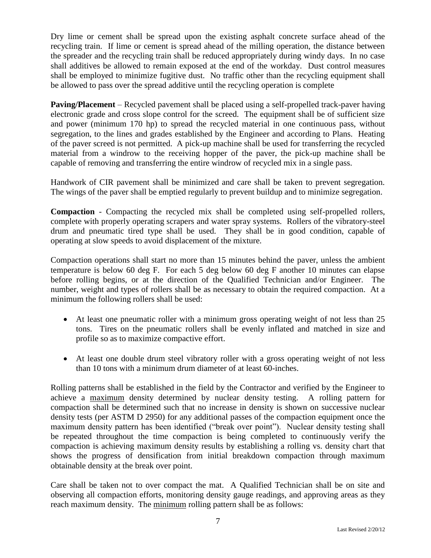Dry lime or cement shall be spread upon the existing asphalt concrete surface ahead of the recycling train. If lime or cement is spread ahead of the milling operation, the distance between the spreader and the recycling train shall be reduced appropriately during windy days. In no case shall additives be allowed to remain exposed at the end of the workday. Dust control measures shall be employed to minimize fugitive dust. No traffic other than the recycling equipment shall be allowed to pass over the spread additive until the recycling operation is complete

**Paving/Placement** – Recycled pavement shall be placed using a self-propelled track-paver having electronic grade and cross slope control for the screed. The equipment shall be of sufficient size and power (minimum 170 hp) to spread the recycled material in one continuous pass, without segregation, to the lines and grades established by the Engineer and according to Plans. Heating of the paver screed is not permitted. A pick-up machine shall be used for transferring the recycled material from a windrow to the receiving hopper of the paver, the pick-up machine shall be capable of removing and transferring the entire windrow of recycled mix in a single pass.

Handwork of CIR pavement shall be minimized and care shall be taken to prevent segregation. The wings of the paver shall be emptied regularly to prevent buildup and to minimize segregation.

**Compaction** - Compacting the recycled mix shall be completed using self-propelled rollers, complete with properly operating scrapers and water spray systems. Rollers of the vibratory-steel drum and pneumatic tired type shall be used. They shall be in good condition, capable of operating at slow speeds to avoid displacement of the mixture.

Compaction operations shall start no more than 15 minutes behind the paver, unless the ambient temperature is below 60 deg F. For each 5 deg below 60 deg F another 10 minutes can elapse before rolling begins, or at the direction of the Qualified Technician and/or Engineer. The number, weight and types of rollers shall be as necessary to obtain the required compaction. At a minimum the following rollers shall be used:

- At least one pneumatic roller with a minimum gross operating weight of not less than 25 tons. Tires on the pneumatic rollers shall be evenly inflated and matched in size and profile so as to maximize compactive effort.
- At least one double drum steel vibratory roller with a gross operating weight of not less than 10 tons with a minimum drum diameter of at least 60-inches.

Rolling patterns shall be established in the field by the Contractor and verified by the Engineer to achieve a maximum density determined by nuclear density testing. A rolling pattern for compaction shall be determined such that no increase in density is shown on successive nuclear density tests (per ASTM D 2950) for any additional passes of the compaction equipment once the maximum density pattern has been identified ("break over point"). Nuclear density testing shall be repeated throughout the time compaction is being completed to continuously verify the compaction is achieving maximum density results by establishing a rolling vs. density chart that shows the progress of densification from initial breakdown compaction through maximum obtainable density at the break over point.

Care shall be taken not to over compact the mat. A Qualified Technician shall be on site and observing all compaction efforts, monitoring density gauge readings, and approving areas as they reach maximum density. The minimum rolling pattern shall be as follows: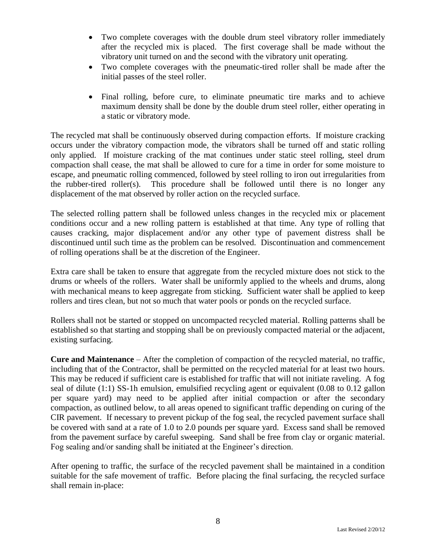- Two complete coverages with the double drum steel vibratory roller immediately after the recycled mix is placed. The first coverage shall be made without the vibratory unit turned on and the second with the vibratory unit operating.
- Two complete coverages with the pneumatic-tired roller shall be made after the initial passes of the steel roller.
- Final rolling, before cure, to eliminate pneumatic tire marks and to achieve maximum density shall be done by the double drum steel roller, either operating in a static or vibratory mode.

The recycled mat shall be continuously observed during compaction efforts. If moisture cracking occurs under the vibratory compaction mode, the vibrators shall be turned off and static rolling only applied. If moisture cracking of the mat continues under static steel rolling, steel drum compaction shall cease, the mat shall be allowed to cure for a time in order for some moisture to escape, and pneumatic rolling commenced, followed by steel rolling to iron out irregularities from the rubber-tired roller(s). This procedure shall be followed until there is no longer any displacement of the mat observed by roller action on the recycled surface.

The selected rolling pattern shall be followed unless changes in the recycled mix or placement conditions occur and a new rolling pattern is established at that time. Any type of rolling that causes cracking, major displacement and/or any other type of pavement distress shall be discontinued until such time as the problem can be resolved. Discontinuation and commencement of rolling operations shall be at the discretion of the Engineer.

Extra care shall be taken to ensure that aggregate from the recycled mixture does not stick to the drums or wheels of the rollers. Water shall be uniformly applied to the wheels and drums, along with mechanical means to keep aggregate from sticking. Sufficient water shall be applied to keep rollers and tires clean, but not so much that water pools or ponds on the recycled surface.

Rollers shall not be started or stopped on uncompacted recycled material. Rolling patterns shall be established so that starting and stopping shall be on previously compacted material or the adjacent, existing surfacing.

**Cure and Maintenance** – After the completion of compaction of the recycled material, no traffic, including that of the Contractor, shall be permitted on the recycled material for at least two hours. This may be reduced if sufficient care is established for traffic that will not initiate raveling. A fog seal of dilute (1:1) SS-1h emulsion, emulsified recycling agent or equivalent (0.08 to 0.12 gallon per square yard) may need to be applied after initial compaction or after the secondary compaction, as outlined below, to all areas opened to significant traffic depending on curing of the CIR pavement. If necessary to prevent pickup of the fog seal, the recycled pavement surface shall be covered with sand at a rate of 1.0 to 2.0 pounds per square yard. Excess sand shall be removed from the pavement surface by careful sweeping. Sand shall be free from clay or organic material. Fog sealing and/or sanding shall be initiated at the Engineer's direction.

After opening to traffic, the surface of the recycled pavement shall be maintained in a condition suitable for the safe movement of traffic. Before placing the final surfacing, the recycled surface shall remain in-place: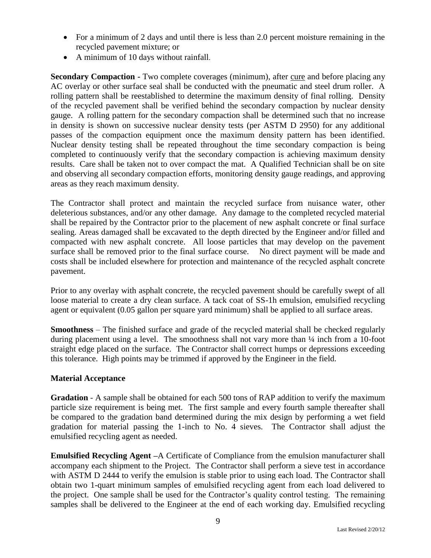- For a minimum of 2 days and until there is less than 2.0 percent moisture remaining in the recycled pavement mixture; or
- A minimum of 10 days without rainfall.

**Secondary Compaction -** Two complete coverages (minimum), after cure and before placing any AC overlay or other surface seal shall be conducted with the pneumatic and steel drum roller. A rolling pattern shall be reestablished to determine the maximum density of final rolling. Density of the recycled pavement shall be verified behind the secondary compaction by nuclear density gauge. A rolling pattern for the secondary compaction shall be determined such that no increase in density is shown on successive nuclear density tests (per ASTM D 2950) for any additional passes of the compaction equipment once the maximum density pattern has been identified. Nuclear density testing shall be repeated throughout the time secondary compaction is being completed to continuously verify that the secondary compaction is achieving maximum density results. Care shall be taken not to over compact the mat. A Qualified Technician shall be on site and observing all secondary compaction efforts, monitoring density gauge readings, and approving areas as they reach maximum density.

The Contractor shall protect and maintain the recycled surface from nuisance water, other deleterious substances, and/or any other damage. Any damage to the completed recycled material shall be repaired by the Contractor prior to the placement of new asphalt concrete or final surface sealing. Areas damaged shall be excavated to the depth directed by the Engineer and/or filled and compacted with new asphalt concrete. All loose particles that may develop on the pavement surface shall be removed prior to the final surface course. No direct payment will be made and costs shall be included elsewhere for protection and maintenance of the recycled asphalt concrete pavement.

Prior to any overlay with asphalt concrete, the recycled pavement should be carefully swept of all loose material to create a dry clean surface. A tack coat of SS-1h emulsion, emulsified recycling agent or equivalent (0.05 gallon per square yard minimum) shall be applied to all surface areas.

**Smoothness** – The finished surface and grade of the recycled material shall be checked regularly during placement using a level. The smoothness shall not vary more than ¼ inch from a 10-foot straight edge placed on the surface. The Contractor shall correct humps or depressions exceeding this tolerance. High points may be trimmed if approved by the Engineer in the field.

#### **Material Acceptance**

**Gradation** - A sample shall be obtained for each 500 tons of RAP addition to verify the maximum particle size requirement is being met. The first sample and every fourth sample thereafter shall be compared to the gradation band determined during the mix design by performing a wet field gradation for material passing the 1-inch to No. 4 sieves. The Contractor shall adjust the emulsified recycling agent as needed.

**Emulsified Recycling Agent –**A Certificate of Compliance from the emulsion manufacturer shall accompany each shipment to the Project. The Contractor shall perform a sieve test in accordance with ASTM D 2444 to verify the emulsion is stable prior to using each load. The Contractor shall obtain two 1-quart minimum samples of emulsified recycling agent from each load delivered to the project. One sample shall be used for the Contractor's quality control testing. The remaining samples shall be delivered to the Engineer at the end of each working day. Emulsified recycling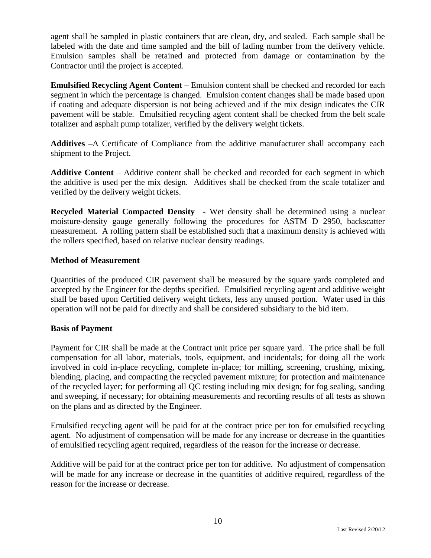agent shall be sampled in plastic containers that are clean, dry, and sealed. Each sample shall be labeled with the date and time sampled and the bill of lading number from the delivery vehicle. Emulsion samples shall be retained and protected from damage or contamination by the Contractor until the project is accepted.

**Emulsified Recycling Agent Content** – Emulsion content shall be checked and recorded for each segment in which the percentage is changed. Emulsion content changes shall be made based upon if coating and adequate dispersion is not being achieved and if the mix design indicates the CIR pavement will be stable. Emulsified recycling agent content shall be checked from the belt scale totalizer and asphalt pump totalizer, verified by the delivery weight tickets.

**Additives –**A Certificate of Compliance from the additive manufacturer shall accompany each shipment to the Project.

**Additive Content** – Additive content shall be checked and recorded for each segment in which the additive is used per the mix design. Additives shall be checked from the scale totalizer and verified by the delivery weight tickets.

**Recycled Material Compacted Density -** Wet density shall be determined using a nuclear moisture-density gauge generally following the procedures for ASTM D 2950, backscatter measurement. A rolling pattern shall be established such that a maximum density is achieved with the rollers specified, based on relative nuclear density readings.

#### **Method of Measurement**

Quantities of the produced CIR pavement shall be measured by the square yards completed and accepted by the Engineer for the depths specified. Emulsified recycling agent and additive weight shall be based upon Certified delivery weight tickets, less any unused portion. Water used in this operation will not be paid for directly and shall be considered subsidiary to the bid item.

#### **Basis of Payment**

Payment for CIR shall be made at the Contract unit price per square yard. The price shall be full compensation for all labor, materials, tools, equipment, and incidentals; for doing all the work involved in cold in-place recycling, complete in-place; for milling, screening, crushing, mixing, blending, placing, and compacting the recycled pavement mixture; for protection and maintenance of the recycled layer; for performing all QC testing including mix design; for fog sealing, sanding and sweeping, if necessary; for obtaining measurements and recording results of all tests as shown on the plans and as directed by the Engineer.

Emulsified recycling agent will be paid for at the contract price per ton for emulsified recycling agent. No adjustment of compensation will be made for any increase or decrease in the quantities of emulsified recycling agent required, regardless of the reason for the increase or decrease.

Additive will be paid for at the contract price per ton for additive. No adjustment of compensation will be made for any increase or decrease in the quantities of additive required, regardless of the reason for the increase or decrease.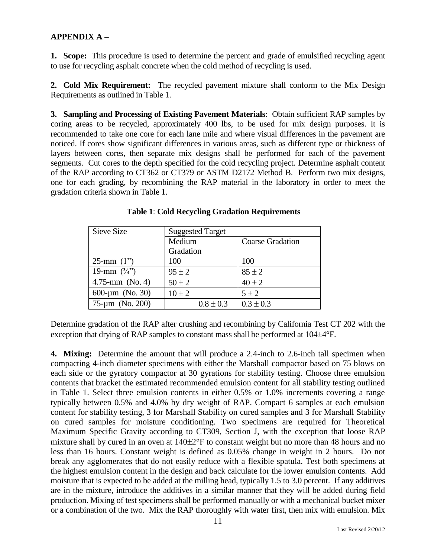# **APPENDIX A –**

**1. Scope:** This procedure is used to determine the percent and grade of emulsified recycling agent to use for recycling asphalt concrete when the cold method of recycling is used.

**2. Cold Mix Requirement:** The recycled pavement mixture shall conform to the Mix Design Requirements as outlined in Table 1.

**3. Sampling and Processing of Existing Pavement Materials**: Obtain sufficient RAP samples by coring areas to be recycled, approximately 400 lbs, to be used for mix design purposes. It is recommended to take one core for each lane mile and where visual differences in the pavement are noticed. If cores show significant differences in various areas, such as different type or thickness of layers between cores, then separate mix designs shall be performed for each of the pavement segments. Cut cores to the depth specified for the cold recycling project. Determine asphalt content of the RAP according to CT362 or CT379 or ASTM D2172 Method B. Perform two mix designs, one for each grading, by recombining the RAP material in the laboratory in order to meet the gradation criteria shown in Table 1.

| Sieve Size              | <b>Suggested Target</b> |                         |
|-------------------------|-------------------------|-------------------------|
|                         | Medium                  | <b>Coarse Gradation</b> |
|                         | Gradation               |                         |
| 25-mm $(1")$            | 100                     | 100                     |
| 19-mm $(\frac{3}{4})^n$ | $95 \pm 2$              | $85 \pm 2$              |
| 4.75-mm $(No. 4)$       | $50 \pm 2$              | $40 \pm 2$              |
| 600- $\mu$ m (No. 30)   | $10 \pm 2$              | $5 \pm 2$               |
| $75 - \mu m$ (No. 200)  | $0.8 \pm 0.3$           | $0.3 \pm 0.3$           |

**Table 1**: **Cold Recycling Gradation Requirements**

Determine gradation of the RAP after crushing and recombining by California Test CT 202 with the exception that drying of RAP samples to constant mass shall be performed at  $104\pm4$ °F.

**4. Mixing:** Determine the amount that will produce a 2.4-inch to 2.6-inch tall specimen when compacting 4-inch diameter specimens with either the Marshall compactor based on 75 blows on each side or the gyratory compactor at 30 gyrations for stability testing. Choose three emulsion contents that bracket the estimated recommended emulsion content for all stability testing outlined in Table 1. Select three emulsion contents in either 0.5% or 1.0% increments covering a range typically between 0.5% and 4.0% by dry weight of RAP. Compact 6 samples at each emulsion content for stability testing, 3 for Marshall Stability on cured samples and 3 for Marshall Stability on cured samples for moisture conditioning. Two specimens are required for Theoretical Maximum Specific Gravity according to CT309, Section J, with the exception that loose RAP mixture shall by cured in an oven at  $140\pm2\textdegree F$  to constant weight but no more than 48 hours and no less than 16 hours. Constant weight is defined as 0.05% change in weight in 2 hours. Do not break any agglomerates that do not easily reduce with a flexible spatula. Test both specimens at the highest emulsion content in the design and back calculate for the lower emulsion contents. Add moisture that is expected to be added at the milling head, typically 1.5 to 3.0 percent. If any additives are in the mixture, introduce the additives in a similar manner that they will be added during field production. Mixing of test specimens shall be performed manually or with a mechanical bucket mixer or a combination of the two. Mix the RAP thoroughly with water first, then mix with emulsion. Mix